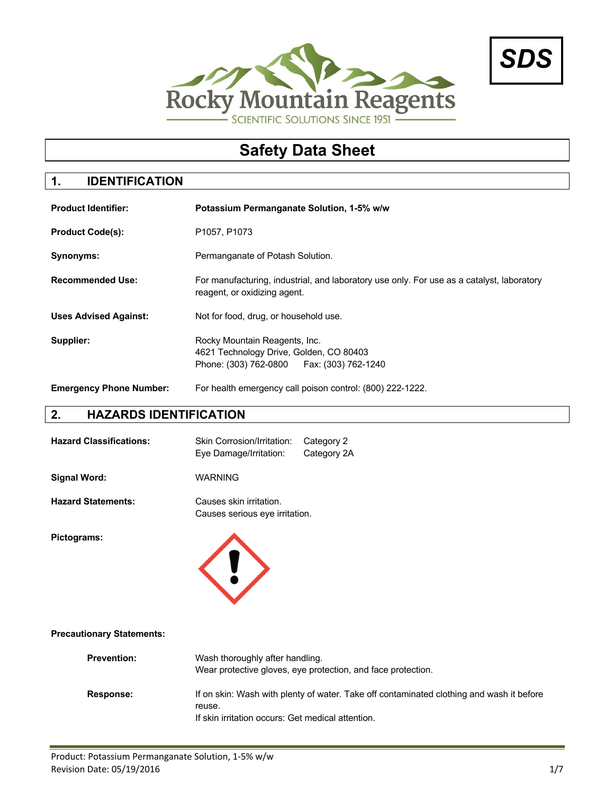



# **Safety Data Sheet**

### **1. IDENTIFICATION**

| <b>Product Identifier:</b>     | Potassium Permanganate Solution, 1-5% w/w                                                                                 |  |
|--------------------------------|---------------------------------------------------------------------------------------------------------------------------|--|
| <b>Product Code(s):</b>        | P1057, P1073                                                                                                              |  |
| Synonyms:                      | Permanganate of Potash Solution.                                                                                          |  |
| <b>Recommended Use:</b>        | For manufacturing, industrial, and laboratory use only. For use as a catalyst, laboratory<br>reagent, or oxidizing agent. |  |
| <b>Uses Advised Against:</b>   | Not for food, drug, or household use.                                                                                     |  |
| Supplier:                      | Rocky Mountain Reagents, Inc.<br>4621 Technology Drive, Golden, CO 80403<br>Phone: (303) 762-0800   Fax: (303) 762-1240   |  |
| <b>Emergency Phone Number:</b> | For health emergency call poison control: (800) 222-1222.                                                                 |  |

#### **2. HAZARDS IDENTIFICATION**

| <b>Hazard Classifications:</b> | Skin Corrosion/Irritation: Category 2<br>Eye Damage/Irritation: | Category 2A |
|--------------------------------|-----------------------------------------------------------------|-------------|
| Signal Word:                   | <b>WARNING</b>                                                  |             |

**Hazard Statements:** Causes skin irritation.

**Pictograms:**



Causes serious eye irritation.

#### **Precautionary Statements:**

| <b>Prevention:</b> | Wash thoroughly after handling.<br>Wear protective gloves, eye protection, and face protection. |
|--------------------|-------------------------------------------------------------------------------------------------|
| <b>Response:</b>   | If on skin: Wash with plenty of water. Take off contaminated clothing and wash it before        |
|                    | reuse.                                                                                          |
|                    | If skin irritation occurs: Get medical attention.                                               |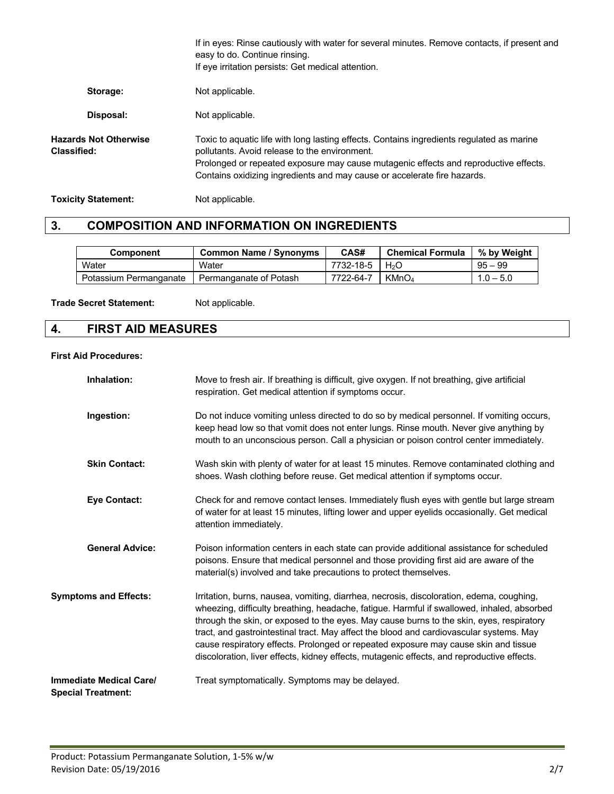|                                                    | If in eyes: Rinse cautiously with water for several minutes. Remove contacts, if present and<br>easy to do. Continue rinsing.<br>If eye irritation persists: Get medical attention.                                                                                                                            |
|----------------------------------------------------|----------------------------------------------------------------------------------------------------------------------------------------------------------------------------------------------------------------------------------------------------------------------------------------------------------------|
| Storage:                                           | Not applicable.                                                                                                                                                                                                                                                                                                |
| Disposal:                                          | Not applicable.                                                                                                                                                                                                                                                                                                |
| <b>Hazards Not Otherwise</b><br><b>Classified:</b> | Toxic to aquatic life with long lasting effects. Contains ingredients regulated as marine<br>pollutants. Avoid release to the environment.<br>Prolonged or repeated exposure may cause mutagenic effects and reproductive effects.<br>Contains oxidizing ingredients and may cause or accelerate fire hazards. |
| <b>Toxicity Statement:</b>                         | Not applicable.                                                                                                                                                                                                                                                                                                |

### **3. COMPOSITION AND INFORMATION ON INGREDIENTS**

| Component                                       | <b>Common Name / Synonyms</b> | CAS#                              | <b>Chemical Formula</b> | % by Weight |
|-------------------------------------------------|-------------------------------|-----------------------------------|-------------------------|-------------|
| Water                                           | Water                         | 7732-18-5 $\mid$ H <sub>2</sub> O |                         | $95 - 99$   |
| Potassium Permanganate   Permanganate of Potash |                               | 7722-64-7                         | KMnO4                   | $1.0 - 5.0$ |

Trade Secret Statement: Not applicable.

# **4. FIRST AID MEASURES**

#### **First Aid Procedures:**

| Inhalation:                                                 | Move to fresh air. If breathing is difficult, give oxygen. If not breathing, give artificial<br>respiration. Get medical attention if symptoms occur.                                                                                                                                                                                                                                                                                                                                                                                                              |
|-------------------------------------------------------------|--------------------------------------------------------------------------------------------------------------------------------------------------------------------------------------------------------------------------------------------------------------------------------------------------------------------------------------------------------------------------------------------------------------------------------------------------------------------------------------------------------------------------------------------------------------------|
| Ingestion:                                                  | Do not induce vomiting unless directed to do so by medical personnel. If vomiting occurs,<br>keep head low so that vomit does not enter lungs. Rinse mouth. Never give anything by<br>mouth to an unconscious person. Call a physician or poison control center immediately.                                                                                                                                                                                                                                                                                       |
| <b>Skin Contact:</b>                                        | Wash skin with plenty of water for at least 15 minutes. Remove contaminated clothing and<br>shoes. Wash clothing before reuse. Get medical attention if symptoms occur.                                                                                                                                                                                                                                                                                                                                                                                            |
| <b>Eye Contact:</b>                                         | Check for and remove contact lenses. Immediately flush eyes with gentle but large stream<br>of water for at least 15 minutes, lifting lower and upper eyelids occasionally. Get medical<br>attention immediately.                                                                                                                                                                                                                                                                                                                                                  |
| <b>General Advice:</b>                                      | Poison information centers in each state can provide additional assistance for scheduled<br>poisons. Ensure that medical personnel and those providing first aid are aware of the<br>material(s) involved and take precautions to protect themselves.                                                                                                                                                                                                                                                                                                              |
| <b>Symptoms and Effects:</b>                                | Irritation, burns, nausea, vomiting, diarrhea, necrosis, discoloration, edema, coughing,<br>wheezing, difficulty breathing, headache, fatigue. Harmful if swallowed, inhaled, absorbed<br>through the skin, or exposed to the eyes. May cause burns to the skin, eyes, respiratory<br>tract, and gastrointestinal tract. May affect the blood and cardiovascular systems. May<br>cause respiratory effects. Prolonged or repeated exposure may cause skin and tissue<br>discoloration, liver effects, kidney effects, mutagenic effects, and reproductive effects. |
| <b>Immediate Medical Care/</b><br><b>Special Treatment:</b> | Treat symptomatically. Symptoms may be delayed.                                                                                                                                                                                                                                                                                                                                                                                                                                                                                                                    |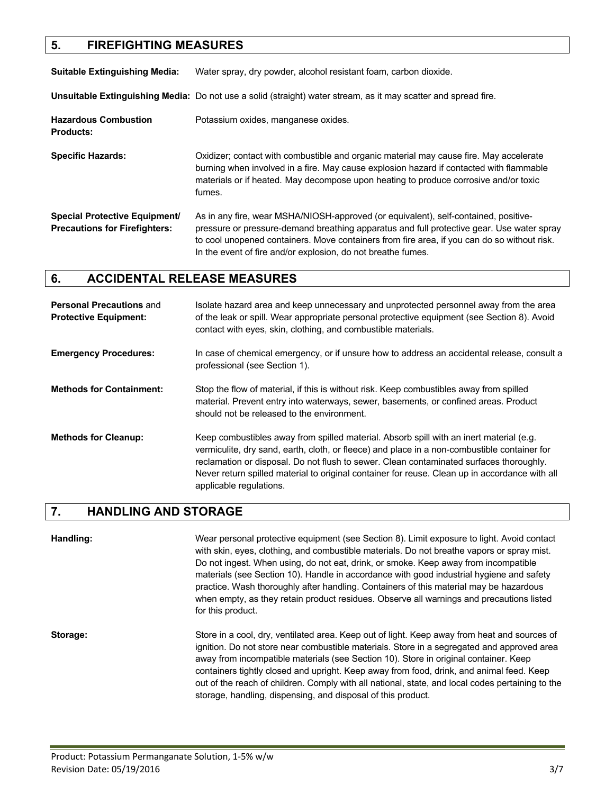#### **5. FIREFIGHTING MEASURES**

**Suitable Extinguishing Media:** Water spray, dry powder, alcohol resistant foam, carbon dioxide.

**Unsuitable Extinguishing Media:** Do not use a solid (straight) water stream, as it may scatter and spread fire.

Hazardous Combustion **Potassium oxides, manganese oxides. Products:**

**Specific Hazards:** Oxidizer; contact with combustible and organic material may cause fire. May accelerate burning when involved in a fire. May cause explosion hazard if contacted with flammable materials or if heated. May decompose upon heating to produce corrosive and/or toxic fumes.

**Special Protective Equipment/** As in any fire, wear MSHA/NIOSH-approved (or equivalent), self-contained, positive-**Precautions for Firefighters:** pressure or pressure-demand breathing apparatus and full protective gear. Use water spray to cool unopened containers. Move containers from fire area, if you can do so without risk. In the event of fire and/or explosion, do not breathe fumes.

#### **6. ACCIDENTAL RELEASE MEASURES**

| <b>Personal Precautions and</b><br><b>Protective Equipment:</b> | Isolate hazard area and keep unnecessary and unprotected personnel away from the area<br>of the leak or spill. Wear appropriate personal protective equipment (see Section 8). Avoid<br>contact with eyes, skin, clothing, and combustible materials.                                                                                                                                                           |
|-----------------------------------------------------------------|-----------------------------------------------------------------------------------------------------------------------------------------------------------------------------------------------------------------------------------------------------------------------------------------------------------------------------------------------------------------------------------------------------------------|
| <b>Emergency Procedures:</b>                                    | In case of chemical emergency, or if unsure how to address an accidental release, consult a<br>professional (see Section 1).                                                                                                                                                                                                                                                                                    |
| <b>Methods for Containment:</b>                                 | Stop the flow of material, if this is without risk. Keep combustibles away from spilled<br>material. Prevent entry into waterways, sewer, basements, or confined areas. Product<br>should not be released to the environment.                                                                                                                                                                                   |
| <b>Methods for Cleanup:</b>                                     | Keep combustibles away from spilled material. Absorb spill with an inert material (e.g.<br>vermiculite, dry sand, earth, cloth, or fleece) and place in a non-combustible container for<br>reclamation or disposal. Do not flush to sewer. Clean contaminated surfaces thoroughly.<br>Never return spilled material to original container for reuse. Clean up in accordance with all<br>applicable regulations. |

#### **7. HANDLING AND STORAGE**

**Handling:** Wear personal protective equipment (see Section 8). Limit exposure to light. Avoid contact with skin, eyes, clothing, and combustible materials. Do not breathe vapors or spray mist. Do not ingest. When using, do not eat, drink, or smoke. Keep away from incompatible materials (see Section 10). Handle in accordance with good industrial hygiene and safety practice. Wash thoroughly after handling. Containers of this material may be hazardous when empty, as they retain product residues. Observe all warnings and precautions listed for this product.

**Storage:** Store in a cool, dry, ventilated area. Keep out of light. Keep away from heat and sources of ignition. Do not store near combustible materials. Store in a segregated and approved area away from incompatible materials (see Section 10). Store in original container. Keep containers tightly closed and upright. Keep away from food, drink, and animal feed. Keep out of the reach of children. Comply with all national, state, and local codes pertaining to the storage, handling, dispensing, and disposal of this product.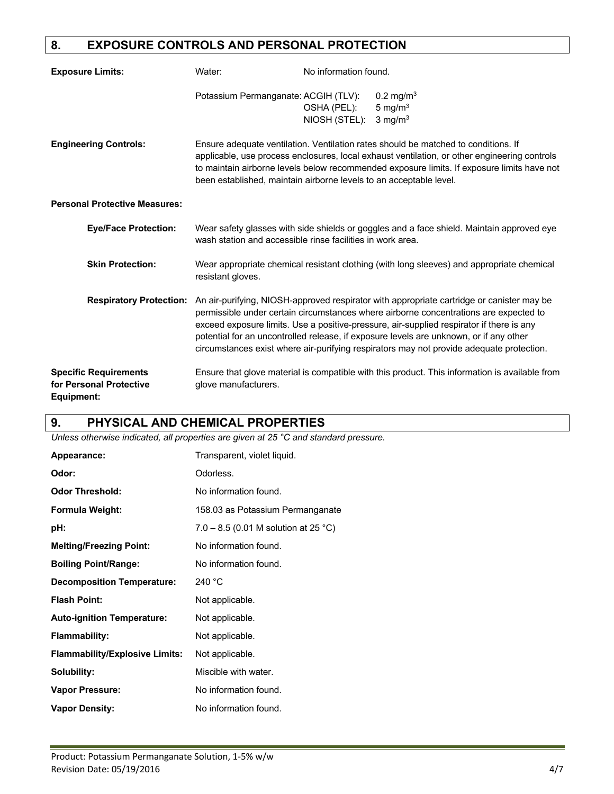# **8. EXPOSURE CONTROLS AND PERSONAL PROTECTION**

| <b>Exposure Limits:</b>                                               | Water:                                                             | No information found.        |                                                                                                                                                                                                                                                                                                                                                                                                                                                                                                     |
|-----------------------------------------------------------------------|--------------------------------------------------------------------|------------------------------|-----------------------------------------------------------------------------------------------------------------------------------------------------------------------------------------------------------------------------------------------------------------------------------------------------------------------------------------------------------------------------------------------------------------------------------------------------------------------------------------------------|
|                                                                       | Potassium Permanganate: ACGIH (TLV):                               | OSHA (PEL):<br>NIOSH (STEL): | 0.2 mg/m <sup>3</sup><br>5 mg/ $m3$<br>$3 \text{ mg/m}^3$                                                                                                                                                                                                                                                                                                                                                                                                                                           |
| <b>Engineering Controls:</b>                                          | been established, maintain airborne levels to an acceptable level. |                              | Ensure adequate ventilation. Ventilation rates should be matched to conditions. If<br>applicable, use process enclosures, local exhaust ventilation, or other engineering controls<br>to maintain airborne levels below recommended exposure limits. If exposure limits have not                                                                                                                                                                                                                    |
| <b>Personal Protective Measures:</b>                                  |                                                                    |                              |                                                                                                                                                                                                                                                                                                                                                                                                                                                                                                     |
| <b>Eye/Face Protection:</b>                                           | wash station and accessible rinse facilities in work area.         |                              | Wear safety glasses with side shields or goggles and a face shield. Maintain approved eye                                                                                                                                                                                                                                                                                                                                                                                                           |
| <b>Skin Protection:</b>                                               | resistant gloves.                                                  |                              | Wear appropriate chemical resistant clothing (with long sleeves) and appropriate chemical                                                                                                                                                                                                                                                                                                                                                                                                           |
|                                                                       |                                                                    |                              | <b>Respiratory Protection:</b> An air-purifying, NIOSH-approved respirator with appropriate cartridge or canister may be<br>permissible under certain circumstances where airborne concentrations are expected to<br>exceed exposure limits. Use a positive-pressure, air-supplied respirator if there is any<br>potential for an uncontrolled release, if exposure levels are unknown, or if any other<br>circumstances exist where air-purifying respirators may not provide adequate protection. |
| <b>Specific Requirements</b><br>for Personal Protective<br>Equipment: | glove manufacturers.                                               |                              | Ensure that glove material is compatible with this product. This information is available from                                                                                                                                                                                                                                                                                                                                                                                                      |

### **9. PHYSICAL AND CHEMICAL PROPERTIES**

*Unless otherwise indicated, all properties are given at 25 °C and standard pressure.*

| Appearance:                           | Transparent, violet liquid.          |
|---------------------------------------|--------------------------------------|
| Odor:                                 | Odorless.                            |
| <b>Odor Threshold:</b>                | No information found.                |
| Formula Weight:                       | 158.03 as Potassium Permanganate     |
| pH:                                   | 7.0 – 8.5 (0.01 M solution at 25 °C) |
| <b>Melting/Freezing Point:</b>        | No information found.                |
| <b>Boiling Point/Range:</b>           | No information found.                |
| <b>Decomposition Temperature:</b>     | 240 $^{\circ}$ C                     |
| <b>Flash Point:</b>                   | Not applicable.                      |
| <b>Auto-ignition Temperature:</b>     | Not applicable.                      |
| <b>Flammability:</b>                  | Not applicable.                      |
| <b>Flammability/Explosive Limits:</b> | Not applicable.                      |
| Solubility:                           | Miscible with water.                 |
| <b>Vapor Pressure:</b>                | No information found.                |
| <b>Vapor Density:</b>                 | No information found.                |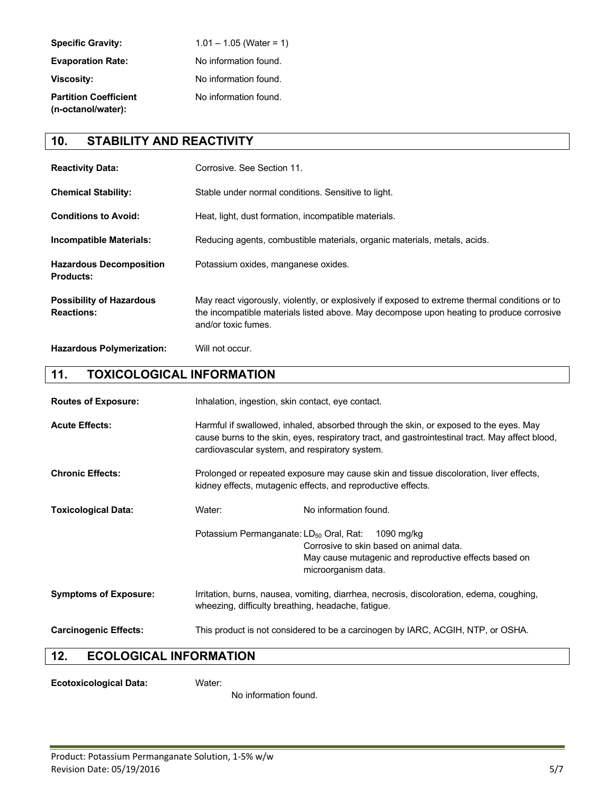| <b>Specific Gravity:</b>                           | $1.01 - 1.05$ (Water = 1) |
|----------------------------------------------------|---------------------------|
| <b>Evaporation Rate:</b>                           | No information found.     |
| <b>Viscosity:</b>                                  | No information found.     |
| <b>Partition Coefficient</b><br>(n-octanol/water): | No information found.     |

### **10. STABILITY AND REACTIVITY**

| <b>Reactivity Data:</b>                              | Corrosive. See Section 11.                                                                                                                                                                                        |
|------------------------------------------------------|-------------------------------------------------------------------------------------------------------------------------------------------------------------------------------------------------------------------|
| <b>Chemical Stability:</b>                           | Stable under normal conditions. Sensitive to light.                                                                                                                                                               |
| <b>Conditions to Avoid:</b>                          | Heat, light, dust formation, incompatible materials.                                                                                                                                                              |
| <b>Incompatible Materials:</b>                       | Reducing agents, combustible materials, organic materials, metals, acids.                                                                                                                                         |
| <b>Hazardous Decomposition</b><br><b>Products:</b>   | Potassium oxides, manganese oxides.                                                                                                                                                                               |
| <b>Possibility of Hazardous</b><br><b>Reactions:</b> | May react vigorously, violently, or explosively if exposed to extreme thermal conditions or to<br>the incompatible materials listed above. May decompose upon heating to produce corrosive<br>and/or toxic fumes. |
| <b>Hazardous Polymerization:</b>                     | Will not occur.                                                                                                                                                                                                   |

### **11. TOXICOLOGICAL INFORMATION**

| <b>Routes of Exposure:</b>   | Inhalation, ingestion, skin contact, eye contact.                                                                                                                                                                                          |                                                                                                                                       |
|------------------------------|--------------------------------------------------------------------------------------------------------------------------------------------------------------------------------------------------------------------------------------------|---------------------------------------------------------------------------------------------------------------------------------------|
| <b>Acute Effects:</b>        | Harmful if swallowed, inhaled, absorbed through the skin, or exposed to the eyes. May<br>cause burns to the skin, eyes, respiratory tract, and gastrointestinal tract. May affect blood,<br>cardiovascular system, and respiratory system. |                                                                                                                                       |
| <b>Chronic Effects:</b>      | Prolonged or repeated exposure may cause skin and tissue discoloration, liver effects,<br>kidney effects, mutagenic effects, and reproductive effects.                                                                                     |                                                                                                                                       |
| <b>Toxicological Data:</b>   | Water:                                                                                                                                                                                                                                     | No information found.                                                                                                                 |
|                              | Potassium Permanganate: LD <sub>50</sub> Oral, Rat:                                                                                                                                                                                        | 1090 mg/kg<br>Corrosive to skin based on animal data.<br>May cause mutagenic and reproductive effects based on<br>microorganism data. |
| <b>Symptoms of Exposure:</b> | Irritation, burns, nausea, vomiting, diarrhea, necrosis, discoloration, edema, coughing,<br>wheezing, difficulty breathing, headache, fatigue.                                                                                             |                                                                                                                                       |
| <b>Carcinogenic Effects:</b> | This product is not considered to be a carcinogen by IARC, ACGIH, NTP, or OSHA.                                                                                                                                                            |                                                                                                                                       |

# **12. ECOLOGICAL INFORMATION**

**Ecotoxicological Data:** Water:

No information found.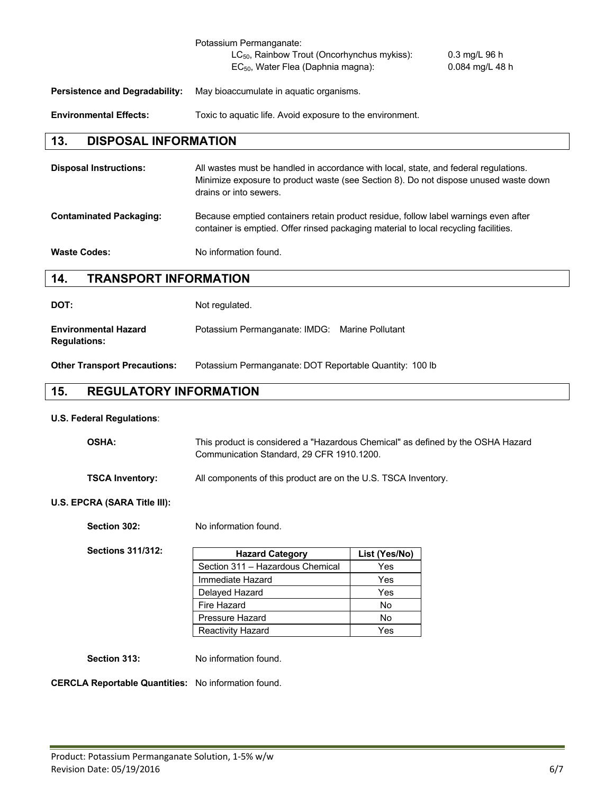|                                       | Potassium Permanganate:<br>LC <sub>50</sub> , Rainbow Trout (Oncorhynchus mykiss):<br>EC <sub>50</sub> , Water Flea (Daphnia magna): | $0.3 \text{ mg/L} 96 \text{ h}$<br>$0.084$ mg/L 48 h |
|---------------------------------------|--------------------------------------------------------------------------------------------------------------------------------------|------------------------------------------------------|
| <b>Persistence and Degradability:</b> | May bioaccumulate in aquatic organisms.                                                                                              |                                                      |
| <b>Environmental Effects:</b>         | Toxic to aguatic life. Avoid exposure to the environment.                                                                            |                                                      |

# **13. DISPOSAL INFORMATION**

| <b>Disposal Instructions:</b>  | All wastes must be handled in accordance with local, state, and federal regulations.<br>Minimize exposure to product waste (see Section 8). Do not dispose unused waste down<br>drains or into sewers. |
|--------------------------------|--------------------------------------------------------------------------------------------------------------------------------------------------------------------------------------------------------|
| <b>Contaminated Packaging:</b> | Because emptied containers retain product residue, follow label warnings even after<br>container is emptied. Offer rinsed packaging material to local recycling facilities.                            |
| <b>Waste Codes:</b>            | No information found.                                                                                                                                                                                  |

#### **14. TRANSPORT INFORMATION**

| DOT:                                               | Not regulated.                                 |  |
|----------------------------------------------------|------------------------------------------------|--|
| <b>Environmental Hazard</b><br><b>Regulations:</b> | Potassium Permanganate: IMDG: Marine Pollutant |  |

**Other Transport Precautions:** Potassium Permanganate: DOT Reportable Quantity: 100 lb

# **15. REGULATORY INFORMATION**

#### **U.S. Federal Regulations**:

| <b>OSHA:</b>           | This product is considered a "Hazardous Chemical" as defined by the OSHA Hazard<br>Communication Standard, 29 CFR 1910, 1200. |
|------------------------|-------------------------------------------------------------------------------------------------------------------------------|
| <b>TSCA Inventory:</b> | All components of this product are on the U.S. TSCA Inventory.                                                                |

#### **U.S. EPCRA (SARA Title III):**

Section 302: No information found.

| <b>Sections 311/312:</b> |
|--------------------------|
|                          |

| <b>Hazard Category</b>           | List (Yes/No) |
|----------------------------------|---------------|
| Section 311 - Hazardous Chemical | Yes           |
| Immediate Hazard                 | Yes           |
| Delayed Hazard                   | Yes           |
| Fire Hazard                      | No            |
| Pressure Hazard                  | No            |
| <b>Reactivity Hazard</b>         | Yes           |

Section 313: No information found.

**CERCLA Reportable Quantities:** No information found.